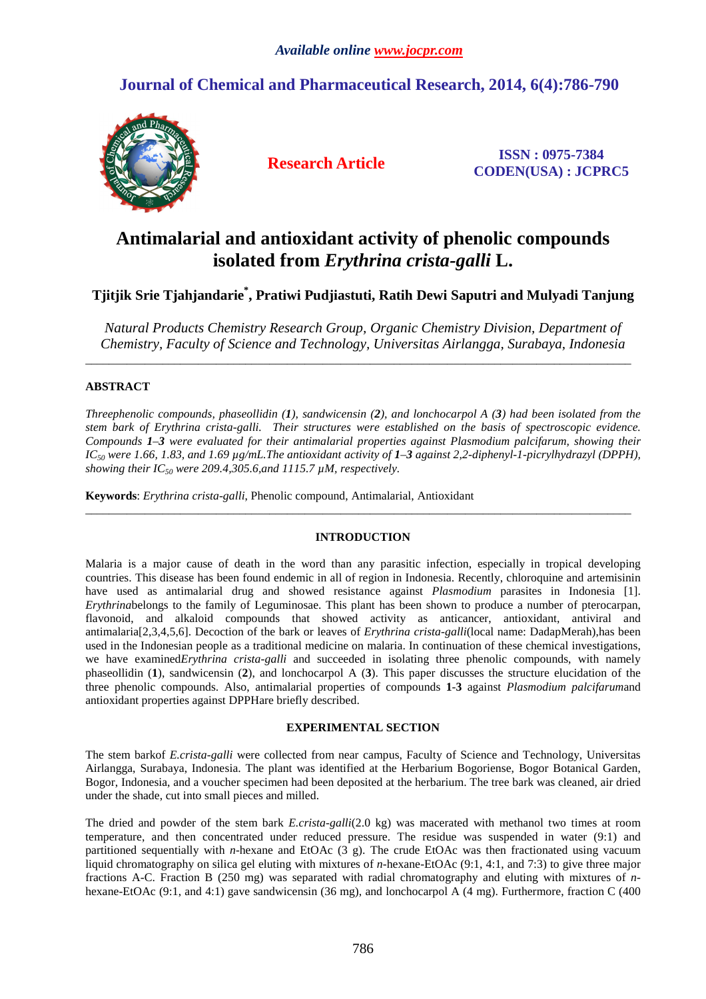## **Journal of Chemical and Pharmaceutical Research, 2014, 6(4):786-790**



**Research Article ISSN : 0975-7384 CODEN(USA) : JCPRC5**

# **Antimalarial and antioxidant activity of phenolic compounds isolated from** *Erythrina crista-galli* **L.**

## **Tjitjik Srie Tjahjandarie\* , Pratiwi Pudjiastuti, Ratih Dewi Saputri and Mulyadi Tanjung**

*Natural Products Chemistry Research Group, Organic Chemistry Division, Department of Chemistry, Faculty of Science and Technology, Universitas Airlangga, Surabaya, Indonesia* 

 $\overline{a}$  , and the state of the state of the state of the state of the state of the state of the state of the state of the state of the state of the state of the state of the state of the state of the state of the state o

## **ABSTRACT**

*Threephenolic compounds, phaseollidin (1), sandwicensin (2), and lonchocarpol A (3) had been isolated from the stem bark of Erythrina crista-galli. Their structures were established on the basis of spectroscopic evidence. Compounds 1–3 were evaluated for their antimalarial properties against Plasmodium palcifarum, showing their*   $IC_{50}$  were 1.66, 1.83, and 1.69  $\mu$ g/mL. The antioxidant activity of  $1-3$  against 2,2-diphenyl-1-picrylhydrazyl (DPPH), *showing their IC50 were 209.4,305.6,and 1115.7 µM, respectively.* 

**Keywords**: *Erythrina crista-galli*, Phenolic compound, Antimalarial, Antioxidant

## **INTRODUCTION**

\_\_\_\_\_\_\_\_\_\_\_\_\_\_\_\_\_\_\_\_\_\_\_\_\_\_\_\_\_\_\_\_\_\_\_\_\_\_\_\_\_\_\_\_\_\_\_\_\_\_\_\_\_\_\_\_\_\_\_\_\_\_\_\_\_\_\_\_\_\_\_\_\_\_\_\_\_\_\_\_\_\_\_\_\_\_\_\_\_\_\_\_

Malaria is a major cause of death in the word than any parasitic infection, especially in tropical developing countries. This disease has been found endemic in all of region in Indonesia. Recently, chloroquine and artemisinin have used as antimalarial drug and showed resistance against *Plasmodium* parasites in Indonesia [1]. *Erythrinabelongs* to the family of Leguminosae. This plant has been shown to produce a number of pterocarpan, flavonoid, and alkaloid compounds that showed activity as anticancer, antioxidant, antiviral and antimalaria[2,3,4,5,6]. Decoction of the bark or leaves of *Erythrina crista-galli*(local name: DadapMerah),has been used in the Indonesian people as a traditional medicine on malaria. In continuation of these chemical investigations, we have examined*Erythrina crista-galli* and succeeded in isolating three phenolic compounds, with namely phaseollidin (**1**), sandwicensin (**2**), and lonchocarpol A (**3**). This paper discusses the structure elucidation of the three phenolic compounds. Also, antimalarial properties of compounds **1**-**3** against *Plasmodium palcifarum*and antioxidant properties against DPPHare briefly described.

### **EXPERIMENTAL SECTION**

The stem barkof *E.crista-galli* were collected from near campus, Faculty of Science and Technology, Universitas Airlangga, Surabaya, Indonesia. The plant was identified at the Herbarium Bogoriense, Bogor Botanical Garden, Bogor, Indonesia, and a voucher specimen had been deposited at the herbarium. The tree bark was cleaned, air dried under the shade, cut into small pieces and milled.

The dried and powder of the stem bark *E.crista-galli*(2.0 kg) was macerated with methanol two times at room temperature, and then concentrated under reduced pressure. The residue was suspended in water (9:1) and partitioned sequentially with *n*-hexane and EtOAc (3 g). The crude EtOAc was then fractionated using vacuum liquid chromatography on silica gel eluting with mixtures of *n*-hexane-EtOAc (9:1, 4:1, and 7:3) to give three major fractions A-C. Fraction B (250 mg) was separated with radial chromatography and eluting with mixtures of *n*hexane-EtOAc (9:1, and 4:1) gave sandwicensin (36 mg), and lonchocarpol A (4 mg). Furthermore, fraction C (400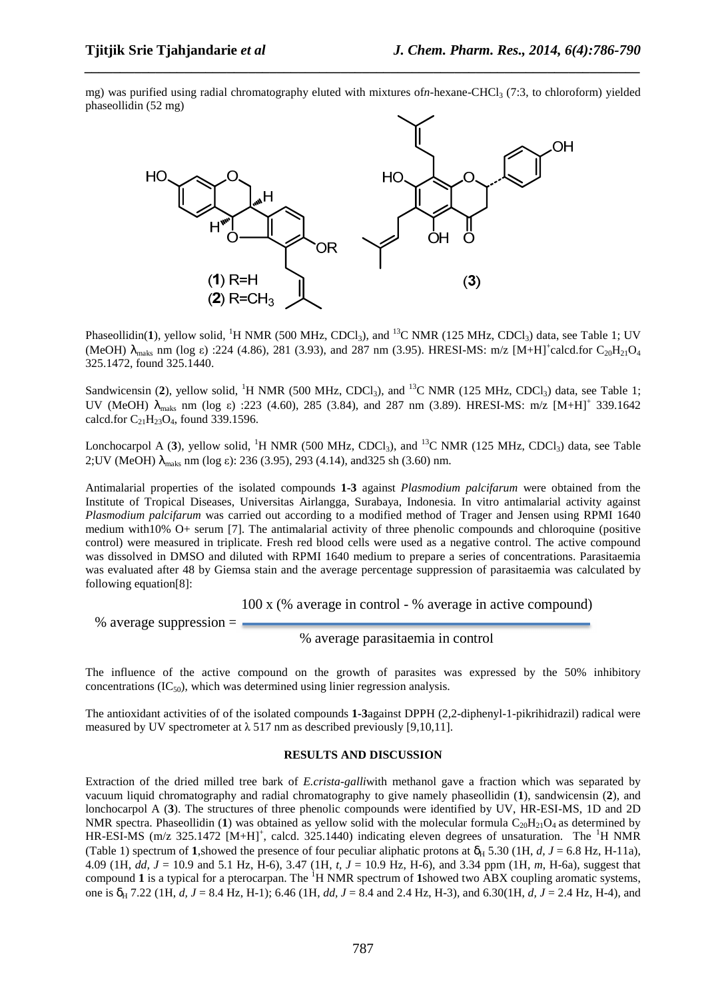mg) was purified using radial chromatography eluted with mixtures of *n*-hexane-CHCl<sub>3</sub> (7:3, to chloroform) yielded phaseollidin (52 mg)

*\_\_\_\_\_\_\_\_\_\_\_\_\_\_\_\_\_\_\_\_\_\_\_\_\_\_\_\_\_\_\_\_\_\_\_\_\_\_\_\_\_\_\_\_\_\_\_\_\_\_\_\_\_\_\_\_\_\_\_\_\_\_\_\_\_\_\_\_\_\_\_\_\_\_\_\_\_\_*



Phaseollidin(1), yellow solid, <sup>1</sup>H NMR (500 MHz, CDCl<sub>3</sub>), and <sup>13</sup>C NMR (125 MHz, CDCl<sub>3</sub>) data, see Table 1; UV (MeOH)  $\lambda_{\text{maks}}$  nm (log  $\varepsilon$ ) :224 (4.86), 281 (3.93), and 287 nm (3.95). HRESI-MS: m/z [M+H]<sup>+</sup>calcd.for C<sub>20</sub>H<sub>21</sub>O<sub>4</sub> 325.1472, found 325.1440.

Sandwicensin (2), yellow solid, <sup>1</sup>H NMR (500 MHz, CDCl<sub>3</sub>), and <sup>13</sup>C NMR (125 MHz, CDCl<sub>3</sub>) data, see Table 1; UV (MeOH)  $\lambda_{\text{maks}}$  nm (log ε) :223 (4.60), 285 (3.84), and 287 nm (3.89). HRESI-MS: m/z  $[M+H]^+$  339.1642 calcd.for  $C_{21}H_{23}O_4$ , found 339.1596.

Lonchocarpol A (3), yellow solid, <sup>1</sup>H NMR (500 MHz, CDCl<sub>3</sub>), and <sup>13</sup>C NMR (125 MHz, CDCl<sub>3</sub>) data, see Table 2;UV (MeOH) λmaks nm (log ε): 236 (3.95), 293 (4.14), and325 sh (3.60) nm.

Antimalarial properties of the isolated compounds **1-3** against *Plasmodium palcifarum* were obtained from the Institute of Tropical Diseases, Universitas Airlangga, Surabaya, Indonesia. In vitro antimalarial activity against *Plasmodium palcifarum* was carried out according to a modified method of Trager and Jensen using RPMI 1640 medium with10% O+ serum [7]. The antimalarial activity of three phenolic compounds and chloroquine (positive control) were measured in triplicate. Fresh red blood cells were used as a negative control. The active compound was dissolved in DMSO and diluted with RPMI 1640 medium to prepare a series of concentrations. Parasitaemia was evaluated after 48 by Giemsa stain and the average percentage suppression of parasitaemia was calculated by following equation[8]:

100 x (% average in control - % average in active compound)

% average suppression  $=$ 

% average parasitaemia in control

The influence of the active compound on the growth of parasites was expressed by the 50% inhibitory concentrations  $(IC_{50})$ , which was determined using linier regression analysis.

The antioxidant activities of of the isolated compounds **1-3**against DPPH (2,2-diphenyl-1-pikrihidrazil) radical were measured by UV spectrometer at  $\lambda$  517 nm as described previously [9,10,11].

### **RESULTS AND DISCUSSION**

Extraction of the dried milled tree bark of *E.crista-galli*with methanol gave a fraction which was separated by vacuum liquid chromatography and radial chromatography to give namely phaseollidin (**1**), sandwicensin (**2**), and lonchocarpol A (**3**). The structures of three phenolic compounds were identified by UV, HR-ESI-MS, 1D and 2D NMR spectra. Phaseollidin (1) was obtained as yellow solid with the molecular formula  $C_{20}H_{21}O_4$  as determined by  $HR-ESI-MS$  (m/z 325.1472 [M+H]<sup>+</sup>, calcd. 325.1440) indicating eleven degrees of unsaturation. The <sup>1</sup>H NMR (Table 1) spectrum of **1**, showed the presence of four peculiar aliphatic protons at  $\delta_H$  5.30 (1H, *d, J* = 6.8 Hz, H-11a), 4.09 (1H, *dd, J* = 10.9 and 5.1 Hz, H-6), 3.47 (1H, *t, J* = 10.9 Hz, H-6), and 3.34 ppm (1H, *m*, H-6a), suggest that compound 1 is a typical for a pterocarpan. The <sup>1</sup>H NMR spectrum of 1showed two ABX coupling aromatic systems, one is δH 7.22 (1H, *d, J* = 8.4 Hz, H-1); 6.46 (1H, *dd, J* = 8.4 and 2.4 Hz, H-3), and 6.30(1H, *d, J* = 2.4 Hz, H-4), and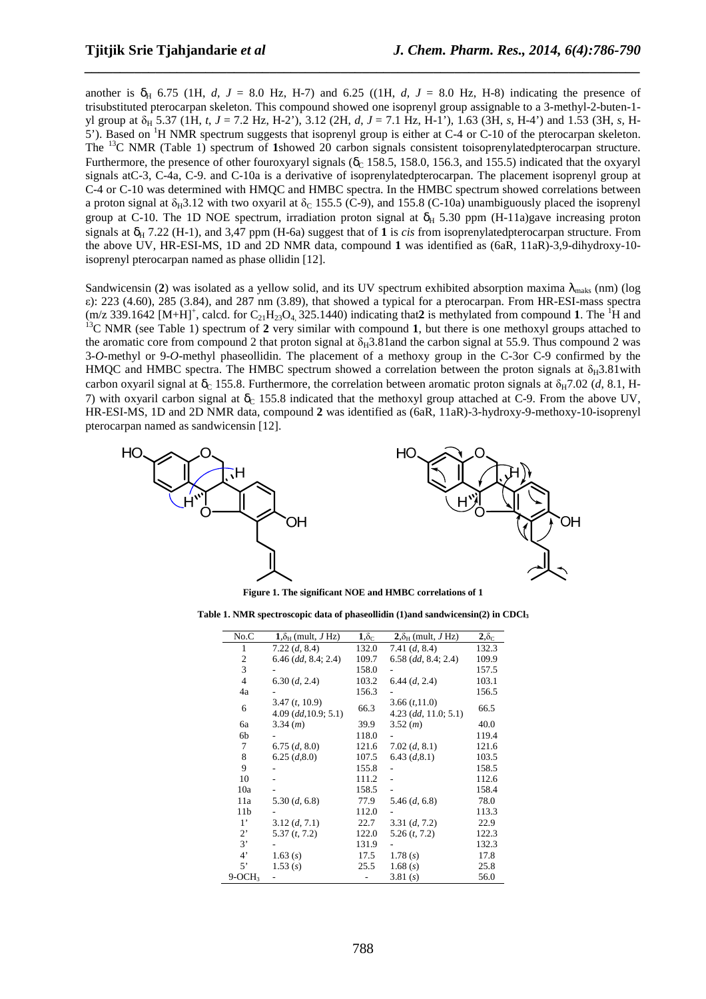another is  $\delta_{\text{H}}$  6.75 (1H, *d, J* = 8.0 Hz, H-7) and 6.25 ((1H, *d, J* = 8.0 Hz, H-8) indicating the presence of trisubstituted pterocarpan skeleton. This compound showed one isoprenyl group assignable to a 3-methyl-2-buten-1 yl group at δ<sub>H</sub> 5.37 (1H, *t*, *J* = 7.2 Hz, H-2'), 3.12 (2H, *d*, *J* = 7.1 Hz, H-1'), 1.63 (3H, *s*, H-4') and 1.53 (3H, *s*, H-5'). Based on <sup>1</sup>H NMR spectrum suggests that isoprenyl group is either at C-4 or C-10 of the pterocarpan skeleton. The <sup>13</sup>C NMR (Table 1) spectrum of **1**showed 20 carbon signals consistent toisoprenylatedpterocarpan structure. Furthermore, the presence of other fouroxyaryl signals ( $\delta_c$  158.5, 158.0, 156.3, and 155.5) indicated that the oxyaryl signals atC-3, C-4a, C-9. and C-10a is a derivative of isoprenylatedpterocarpan. The placement isoprenyl group at C-4 or C-10 was determined with HMQC and HMBC spectra. In the HMBC spectrum showed correlations between a proton signal at  $\delta_H$ 3.12 with two oxyaril at  $\delta_C$  155.5 (C-9), and 155.8 (C-10a) unambiguously placed the isoprenyl group at C-10. The 1D NOE spectrum, irradiation proton signal at  $\delta_H$  5.30 ppm (H-11a)gave increasing proton signals at  $\delta_H$  7.22 (H-1), and 3,47 ppm (H-6a) suggest that of 1 is *cis* from isoprenylatedpterocarpan structure. From the above UV, HR-ESI-MS, 1D and 2D NMR data, compound **1** was identified as (6aR, 11aR)-3,9-dihydroxy-10 isoprenyl pterocarpan named as phase ollidin [12].

*\_\_\_\_\_\_\_\_\_\_\_\_\_\_\_\_\_\_\_\_\_\_\_\_\_\_\_\_\_\_\_\_\_\_\_\_\_\_\_\_\_\_\_\_\_\_\_\_\_\_\_\_\_\_\_\_\_\_\_\_\_\_\_\_\_\_\_\_\_\_\_\_\_\_\_\_\_\_*

Sandwicensin (2) was isolated as a yellow solid, and its UV spectrum exhibited absorption maxima  $\lambda_{\text{maks}}$  (nm) (log ε): 223 (4.60), 285 (3.84), and 287 nm (3.89), that showed a typical for a pterocarpan. From HR-ESI-mass spectra  $(m/z)$  339.1642  $[M+H]^+$ , calcd. for  $C_{21}H_{23}O_4$ , 325.1440) indicating that 2 is methylated from compound 1. The <sup>1</sup>H and <sup>13</sup>C NMR (see Table 1) spectrum of 2 very similar with compound 1, but there is one methoxyl groups attached to the aromatic core from compound 2 that proton signal at  $\delta_H$ 3.81 and the carbon signal at 55.9. Thus compound 2 was 3-*O-*methyl or 9-*O*-methyl phaseollidin. The placement of a methoxy group in the C-3or C-9 confirmed by the HMQC and HMBC spectra. The HMBC spectrum showed a correlation between the proton signals at  $\delta_H 3.81$  with carbon oxyaril signal at  $\delta_c$  155.8. Furthermore, the correlation between aromatic proton signals at  $\delta_H$ 7.02 (*d*, 8.1, H-7) with oxyaril carbon signal at  $\delta_c$  155.8 indicated that the methoxyl group attached at C-9. From the above UV, HR-ESI-MS, 1D and 2D NMR data, compound **2** was identified as (6aR, 11aR)-3-hydroxy-9-methoxy-10-isoprenyl pterocarpan named as sandwicensin [12].



**Figure 1. The significant NOE and HMBC correlations of 1** 

**Table 1. NMR spectroscopic data of phaseollidin (1)and sandwicensin(2) in CDCl<sup>3</sup>**

| No.C           | $1.\delta_{\rm H}$ (mult, J Hz)         | $1,\delta_{\rm C}$ | $2.\delta_{\rm H}$ (mult, J Hz)        | $2,\delta_{\rm C}$ |
|----------------|-----------------------------------------|--------------------|----------------------------------------|--------------------|
| 1              | 7.22 (d, 8.4)                           | 132.0              | 7.41 $(d, 8.4)$                        | 132.3              |
| 2              | $6.46$ (dd, $8.4; 2.4$ )                | 109.7              | $6.58$ (dd, 8.4; 2.4)                  | 109.9              |
| 3              |                                         | 158.0              |                                        | 157.5              |
| $\overline{4}$ | 6.30 (d, 2.4)                           | 103.2              | 6.44 (d, 2.4)                          | 103.1              |
| 4a             |                                         | 156.3              |                                        | 156.5              |
| 6              | 3.47(t, 10.9)<br>$4.09$ (dd, 10.9; 5.1) | 66.3               | 3.66(t,11.0)<br>$4.23$ (dd, 11.0; 5.1) | 66.5               |
| бa             | 3.34(m)                                 | 39.9               | 3.52(m)                                | 40.0               |
| 6b             |                                         | 118.0              |                                        | 119.4              |
| 7              | 6.75(d, 8.0)                            | 121.6              | 7.02 (d, 8.1)                          | 121.6              |
| 8              | 6.25(d, 8.0)                            | 107.5              | 6.43 (d, 8.1)                          | 103.5              |
| 9              |                                         | 155.8              |                                        | 158.5              |
| 10             |                                         | 111.2              |                                        | 112.6              |
| 10a            |                                         | 158.5              |                                        | 158.4              |
| 11a            | 5.30 (d, 6.8)                           | 77.9               | 5.46(d, 6.8)                           | 78.0               |
| 11b            |                                         | 112.0              |                                        | 113.3              |
| $1^{\circ}$    | 3.12(d, 7.1)                            | 22.7               | 3.31(d, 7.2)                           | 22.9               |
| $2^{\circ}$    | 5.37(t, 7.2)                            | 122.0              | 5.26(t, 7.2)                           | 122.3              |
| 3'             |                                         | 131.9              |                                        | 132.3              |
| $4^{\circ}$    | 1.63(s)                                 | 17.5               | 1.78(s)                                | 17.8               |
| 5'             | 1.53(s)                                 | 25.5               | 1.68(s)                                | 25.8               |
| $9-OCH3$       |                                         |                    | 3.81(s)                                | 56.0               |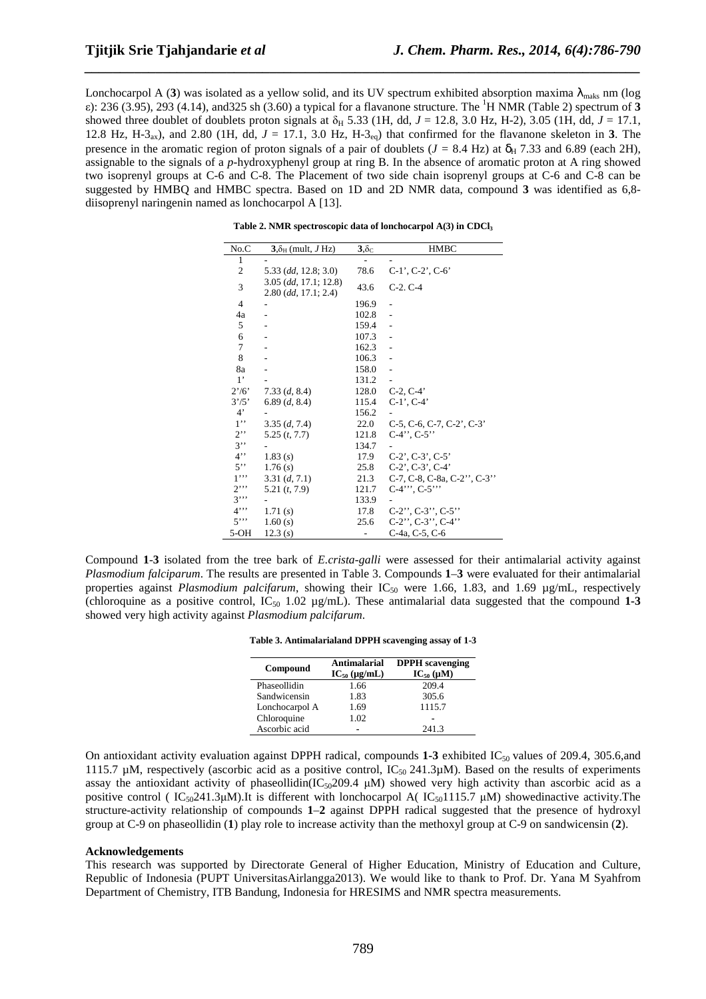Lonchocarpol A (3) was isolated as a yellow solid, and its UV spectrum exhibited absorption maxima  $\lambda_{\text{mask}}$  nm (log ε): 236 (3.95), 293 (4.14), and325 sh (3.60) a typical for a flavanone structure. The <sup>1</sup>H NMR (Table 2) spectrum of **3**  showed three doublet of doublets proton signals at  $\delta_H$  5.33 (1H, dd, *J* = 12.8, 3.0 Hz, H-2), 3.05 (1H, dd, *J* = 17.1, 12.8 Hz, H-3<sub>ax</sub>), and 2.80 (1H, dd,  $J = 17.1$ , 3.0 Hz, H-3<sub>eq</sub>) that confirmed for the flavanone skeleton in 3. The presence in the aromatic region of proton signals of a pair of doublets ( $J = 8.4$  Hz) at  $\delta_H$  7.33 and 6.89 (each 2H), assignable to the signals of a *p-*hydroxyphenyl group at ring B. In the absence of aromatic proton at A ring showed two isoprenyl groups at C-6 and C-8. The Placement of two side chain isoprenyl groups at C-6 and C-8 can be suggested by HMBQ and HMBC spectra. Based on 1D and 2D NMR data, compound **3** was identified as 6,8 diisoprenyl naringenin named as lonchocarpol A [13].

*\_\_\_\_\_\_\_\_\_\_\_\_\_\_\_\_\_\_\_\_\_\_\_\_\_\_\_\_\_\_\_\_\_\_\_\_\_\_\_\_\_\_\_\_\_\_\_\_\_\_\_\_\_\_\_\_\_\_\_\_\_\_\_\_\_\_\_\_\_\_\_\_\_\_\_\_\_\_*

**Table 2. NMR spectroscopic data of lonchocarpol A(3) in CDCl<sup>3</sup>**

| No.C           | $3.\delta_{H}$ (mult, J Hz)                       | $3,\delta_{\rm C}$ | <b>HMBC</b>                              |
|----------------|---------------------------------------------------|--------------------|------------------------------------------|
| 1              |                                                   |                    |                                          |
| 2              | 5.33 (dd, 12.8; 3.0)                              | 78.6               | $C-1'$ , $C-2'$ , $C-6'$                 |
| 3              | $3.05$ (dd, 17.1; 12.8)<br>$2.80$ (dd, 17.1; 2.4) | 43.6               | $C-2. C-4$                               |
| $\overline{4}$ |                                                   | 196.9              |                                          |
| 4a             |                                                   | 102.8              |                                          |
| 5              |                                                   | 159.4              |                                          |
| 6              |                                                   | 107.3              |                                          |
| 7              |                                                   | 162.3              |                                          |
| 8              |                                                   | 106.3              |                                          |
| 8a             |                                                   | 158.0              |                                          |
| $1^{\circ}$    |                                                   | 131.2              |                                          |
| 2'/6'          | 7.33(d, 8.4)                                      | 128.0              | $C-2, C-4'$                              |
| 3'/5'          | 6.89(d, 8.4)                                      | 115.4              | $C-1$ ', $C-4$ '                         |
| $4^{\circ}$    |                                                   | 156.2              |                                          |
| 1, 1           | 3.35(d, 7.4)                                      | 22.0               | $C-5$ , $C-6$ , $C-7$ , $C-2$ ', $C-3$ ' |
| $2$ .          | 5.25(t, 7.7)                                      | 121.8              | $C-4$ ", $C-5$ "                         |
| $3$ "          |                                                   | 134.7              |                                          |
| 4              | 1.83(s)                                           | 17.9               | $C-2$ ', $C-3$ ', $C-5$ '                |
| $5$ "          | 1.76(s)                                           | 25.8               | $C-2$ ', $C-3$ ', $C-4$ '                |
| $1$ "          | 3.31(d, 7.1)                                      | 21.3               | C-7, C-8, C-8a, C-2", C-3"               |
| $2$            | 5.21(t, 7.9)                                      | 121.7              | $C-4$ ", $C-5$ "                         |
| $3$ "          |                                                   | 133.9              |                                          |
| $4$ "          | 1.71(s)                                           | 17.8               | $C-2$ ", $C-3$ ", $C-5$ "                |
| 5"             | 1.60(s)                                           | 25.6               | $C-2$ ", $C-3$ ", $C-4$ "                |
| $5-OH$         | 12.3(s)                                           |                    | C-4a, C-5, C-6                           |

Compound **1**-**3** isolated from the tree bark of *E.crista-galli* were assessed for their antimalarial activity against *Plasmodium falciparum*. The results are presented in Table 3. Compounds **1**–**3** were evaluated for their antimalarial properties against *Plasmodium palcifarum*, showing their IC<sub>50</sub> were 1.66, 1.83, and 1.69 µg/mL, respectively (chloroquine as a positive control,  $IC_{50}$  1.02  $\mu$ g/mL). These antimalarial data suggested that the compound 1-3 showed very high activity against *Plasmodium palcifarum*.

| Table 3. Antimalarialand DPPH scavenging assay of 1-3 |  |
|-------------------------------------------------------|--|
|-------------------------------------------------------|--|

| Compound       | Antimalarial<br>$IC_{50}$ (µg/mL) | <b>DPPH</b> scavenging<br>$IC_{50} (\mu M)$ |
|----------------|-----------------------------------|---------------------------------------------|
| Phaseollidin   | 1.66                              | 209.4                                       |
| Sandwicensin   | 1.83                              | 305.6                                       |
| Lonchocarpol A | 1.69                              | 1115.7                                      |
| Chloroquine    | 1.02                              |                                             |
| Ascorbic acid  |                                   | 241.3                                       |

On antioxidant activity evaluation against DPPH radical, compounds  $1-3$  exhibited IC<sub>50</sub> values of 209.4, 305.6,and 1115.7 µM, respectively (ascorbic acid as a positive control,  $IC_{50}$  241.3µM). Based on the results of experiments assay the antioxidant activity of phaseollidin( $IC_{50}$ 209.4 µM) showed very high activity than ascorbic acid as a positive control (  $IC_{50}$ 241.3µM).It is different with lonchocarpol A(  $IC_{50}$ 1115.7 µM) showedinactive activity.The structure-activity relationship of compounds **1**–**2** against DPPH radical suggested that the presence of hydroxyl group at C-9 on phaseollidin (**1**) play role to increase activity than the methoxyl group at C-9 on sandwicensin (**2**).

#### **Acknowledgements**

This research was supported by Directorate General of Higher Education, Ministry of Education and Culture, Republic of Indonesia (PUPT UniversitasAirlangga2013). We would like to thank to Prof. Dr. Yana M Syahfrom Department of Chemistry, ITB Bandung, Indonesia for HRESIMS and NMR spectra measurements.